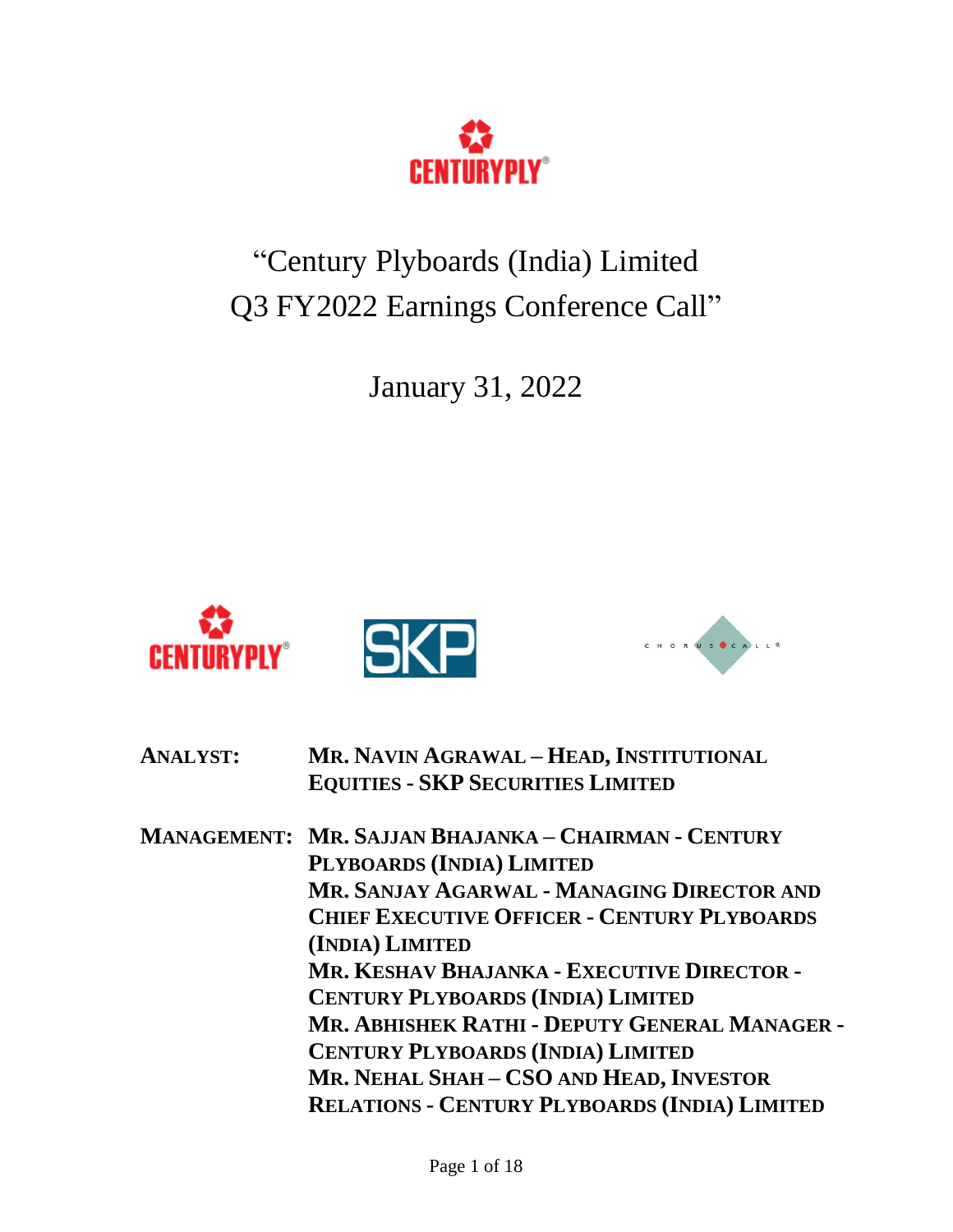

"Century Plyboards (India) Limited Q3 FY2022 Earnings Conference Call"

January 31, 2022



| <b>ANALYST:</b> | MR. NAVIN AGRAWAL - HEAD, INSTITUTIONAL              |
|-----------------|------------------------------------------------------|
|                 | <b>EQUITIES - SKP SECURITIES LIMITED</b>             |
|                 | MANAGEMENT: MR. SAJJAN BHAJANKA – CHAIRMAN - CENTURY |
|                 | PLYBOARDS (INDIA) LIMITED                            |
|                 | MR. SANJAY AGARWAL - MANAGING DIRECTOR AND           |
|                 | <b>CHIEF EXECUTIVE OFFICER - CENTURY PLYBOARDS</b>   |
|                 | (INDIA) LIMITED                                      |
|                 | MR. KESHAV BHAJANKA - EXECUTIVE DIRECTOR -           |
|                 | <b>CENTURY PLYBOARDS (INDIA) LIMITED</b>             |
|                 | MR. ABHISHEK RATHI - DEPUTY GENERAL MANAGER -        |
|                 | <b>CENTURY PLYBOARDS (INDIA) LIMITED</b>             |
|                 | MR. NEHAL SHAH - CSO AND HEAD, INVESTOR              |
|                 | <b>RELATIONS - CENTURY PLYBOARDS (INDIA) LIMITED</b> |
|                 |                                                      |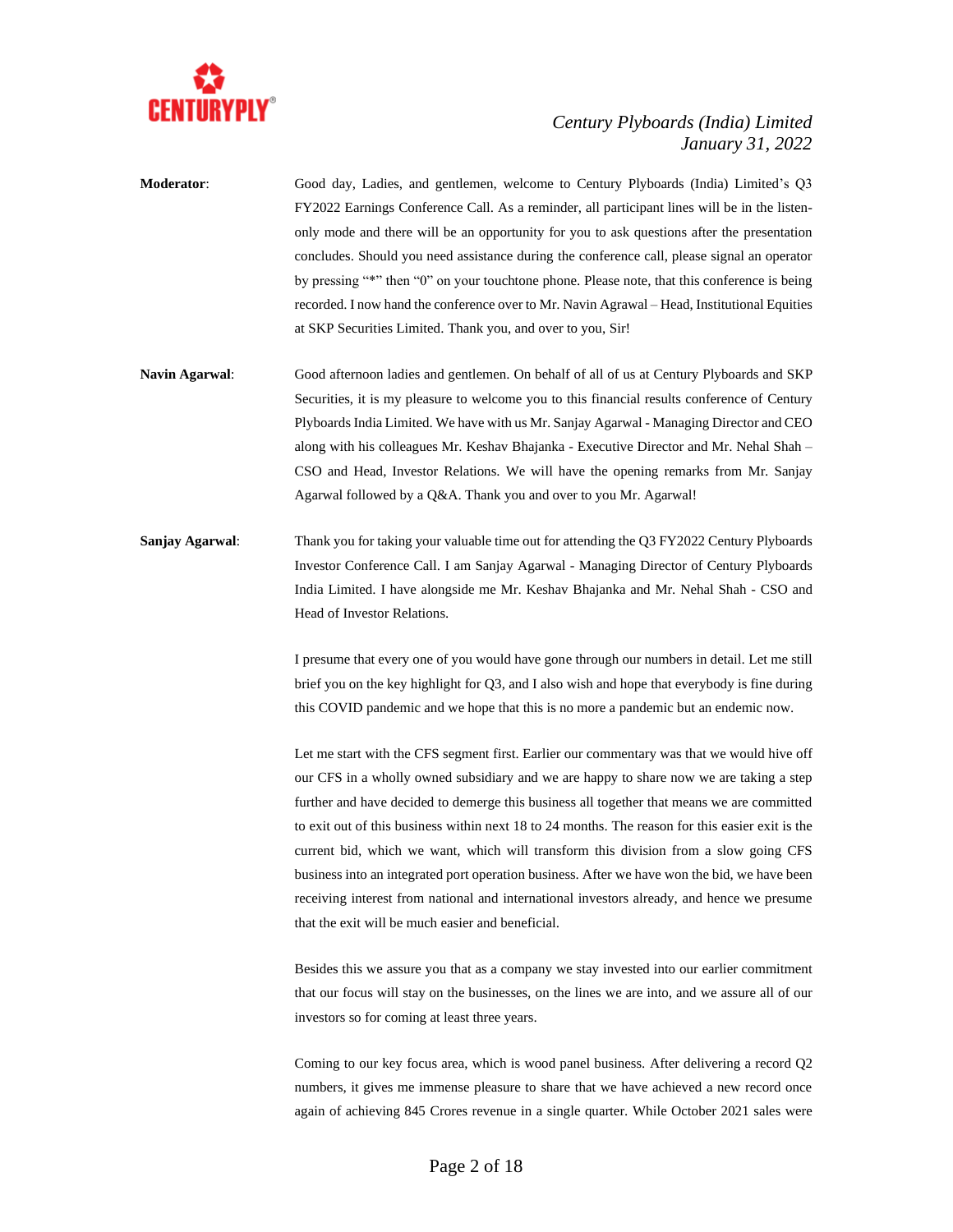

**Moderator**: Good day, Ladies, and gentlemen, welcome to Century Plyboards (India) Limited's Q3 FY2022 Earnings Conference Call. As a reminder, all participant lines will be in the listenonly mode and there will be an opportunity for you to ask questions after the presentation concludes. Should you need assistance during the conference call, please signal an operator by pressing "\*" then "0" on your touchtone phone. Please note, that this conference is being recorded. I now hand the conference over to Mr. Navin Agrawal – Head, Institutional Equities at SKP Securities Limited. Thank you, and over to you, Sir!

**Navin Agarwal**: Good afternoon ladies and gentlemen. On behalf of all of us at Century Plyboards and SKP Securities, it is my pleasure to welcome you to this financial results conference of Century Plyboards India Limited. We have with us Mr. Sanjay Agarwal - Managing Director and CEO along with his colleagues Mr. Keshav Bhajanka - Executive Director and Mr. Nehal Shah – CSO and Head, Investor Relations. We will have the opening remarks from Mr. Sanjay Agarwal followed by a Q&A. Thank you and over to you Mr. Agarwal!

**Sanjay Agarwal:** Thank you for taking your valuable time out for attending the Q3 FY2022 Century Plyboards Investor Conference Call. I am Sanjay Agarwal - Managing Director of Century Plyboards India Limited. I have alongside me Mr. Keshav Bhajanka and Mr. Nehal Shah - CSO and Head of Investor Relations.

> I presume that every one of you would have gone through our numbers in detail. Let me still brief you on the key highlight for Q3, and I also wish and hope that everybody is fine during this COVID pandemic and we hope that this is no more a pandemic but an endemic now.

> Let me start with the CFS segment first. Earlier our commentary was that we would hive off our CFS in a wholly owned subsidiary and we are happy to share now we are taking a step further and have decided to demerge this business all together that means we are committed to exit out of this business within next 18 to 24 months. The reason for this easier exit is the current bid, which we want, which will transform this division from a slow going CFS business into an integrated port operation business. After we have won the bid, we have been receiving interest from national and international investors already, and hence we presume that the exit will be much easier and beneficial.

> Besides this we assure you that as a company we stay invested into our earlier commitment that our focus will stay on the businesses, on the lines we are into, and we assure all of our investors so for coming at least three years.

> Coming to our key focus area, which is wood panel business. After delivering a record Q2 numbers, it gives me immense pleasure to share that we have achieved a new record once again of achieving 845 Crores revenue in a single quarter. While October 2021 sales were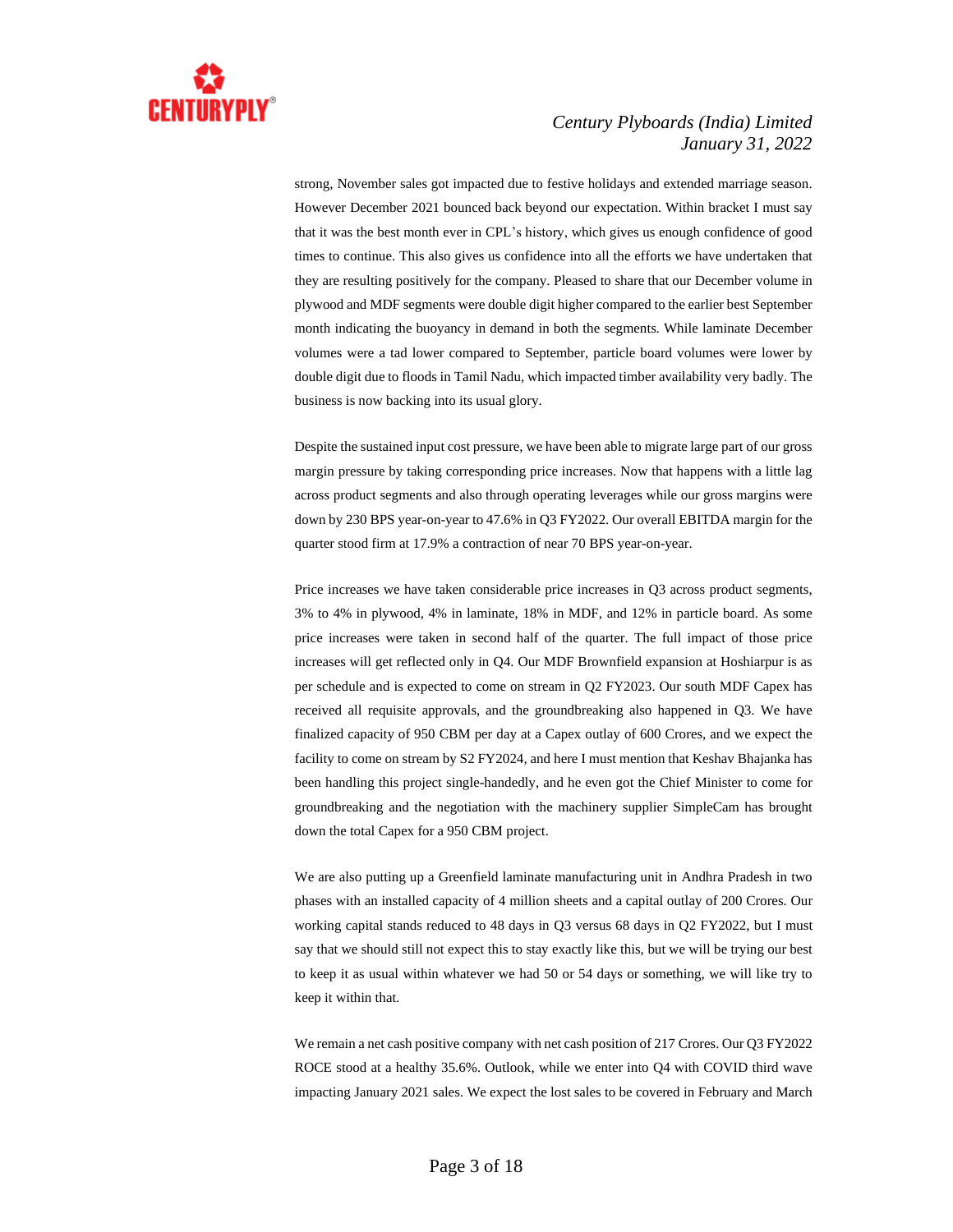

strong, November sales got impacted due to festive holidays and extended marriage season. However December 2021 bounced back beyond our expectation. Within bracket I must say that it was the best month ever in CPL's history, which gives us enough confidence of good times to continue. This also gives us confidence into all the efforts we have undertaken that they are resulting positively for the company. Pleased to share that our December volume in plywood and MDF segments were double digit higher compared to the earlier best September month indicating the buoyancy in demand in both the segments. While laminate December volumes were a tad lower compared to September, particle board volumes were lower by double digit due to floods in Tamil Nadu, which impacted timber availability very badly. The business is now backing into its usual glory.

Despite the sustained input cost pressure, we have been able to migrate large part of our gross margin pressure by taking corresponding price increases. Now that happens with a little lag across product segments and also through operating leverages while our gross margins were down by 230 BPS year-on-year to 47.6% in Q3 FY2022. Our overall EBITDA margin for the quarter stood firm at 17.9% a contraction of near 70 BPS year-on-year.

Price increases we have taken considerable price increases in Q3 across product segments, 3% to 4% in plywood, 4% in laminate, 18% in MDF, and 12% in particle board. As some price increases were taken in second half of the quarter. The full impact of those price increases will get reflected only in Q4. Our MDF Brownfield expansion at Hoshiarpur is as per schedule and is expected to come on stream in Q2 FY2023. Our south MDF Capex has received all requisite approvals, and the groundbreaking also happened in Q3. We have finalized capacity of 950 CBM per day at a Capex outlay of 600 Crores, and we expect the facility to come on stream by S2 FY2024, and here I must mention that Keshav Bhajanka has been handling this project single-handedly, and he even got the Chief Minister to come for groundbreaking and the negotiation with the machinery supplier SimpleCam has brought down the total Capex for a 950 CBM project.

We are also putting up a Greenfield laminate manufacturing unit in Andhra Pradesh in two phases with an installed capacity of 4 million sheets and a capital outlay of 200 Crores. Our working capital stands reduced to 48 days in Q3 versus 68 days in Q2 FY2022, but I must say that we should still not expect this to stay exactly like this, but we will be trying our best to keep it as usual within whatever we had 50 or 54 days or something, we will like try to keep it within that.

We remain a net cash positive company with net cash position of 217 Crores. Our Q3 FY2022 ROCE stood at a healthy 35.6%. Outlook, while we enter into Q4 with COVID third wave impacting January 2021 sales. We expect the lost sales to be covered in February and March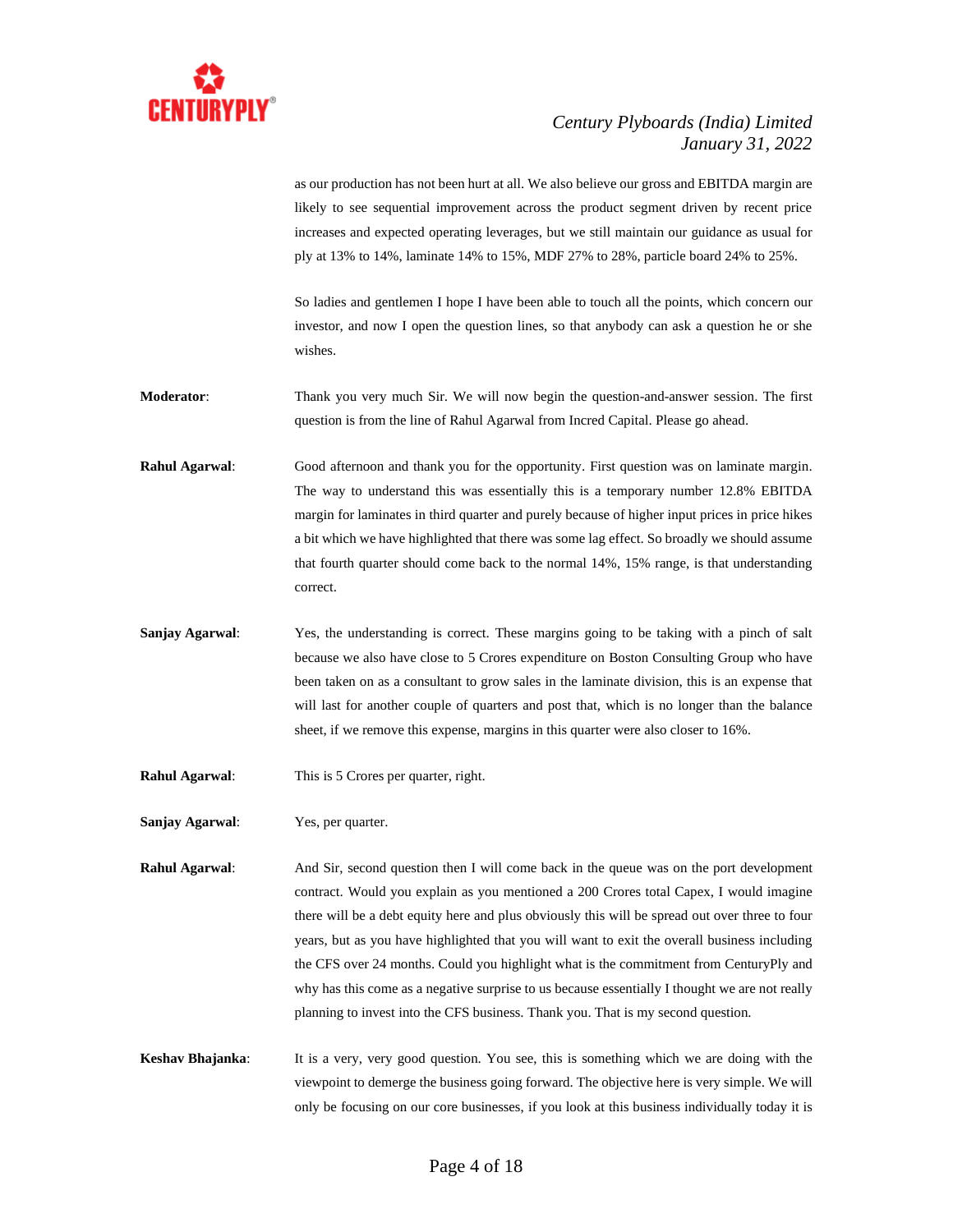

as our production has not been hurt at all. We also believe our gross and EBITDA margin are likely to see sequential improvement across the product segment driven by recent price increases and expected operating leverages, but we still maintain our guidance as usual for ply at 13% to 14%, laminate 14% to 15%, MDF 27% to 28%, particle board 24% to 25%.

So ladies and gentlemen I hope I have been able to touch all the points, which concern our investor, and now I open the question lines, so that anybody can ask a question he or she wishes.

**Moderator**: Thank you very much Sir. We will now begin the question-and-answer session. The first question is from the line of Rahul Agarwal from Incred Capital. Please go ahead.

**Rahul Agarwal**: Good afternoon and thank you for the opportunity. First question was on laminate margin. The way to understand this was essentially this is a temporary number 12.8% EBITDA margin for laminates in third quarter and purely because of higher input prices in price hikes a bit which we have highlighted that there was some lag effect. So broadly we should assume that fourth quarter should come back to the normal 14%, 15% range, is that understanding correct.

**Sanjay Agarwal**: Yes, the understanding is correct. These margins going to be taking with a pinch of salt because we also have close to 5 Crores expenditure on Boston Consulting Group who have been taken on as a consultant to grow sales in the laminate division, this is an expense that will last for another couple of quarters and post that, which is no longer than the balance sheet, if we remove this expense, margins in this quarter were also closer to 16%.

**Rahul Agarwal**: This is 5 Crores per quarter, right.

**Sanjay Agarwal**: Yes, per quarter.

**Rahul Agarwal**: And Sir, second question then I will come back in the queue was on the port development contract. Would you explain as you mentioned a 200 Crores total Capex, I would imagine there will be a debt equity here and plus obviously this will be spread out over three to four years, but as you have highlighted that you will want to exit the overall business including the CFS over 24 months. Could you highlight what is the commitment from CenturyPly and why has this come as a negative surprise to us because essentially I thought we are not really planning to invest into the CFS business. Thank you. That is my second question.

**Keshav Bhajanka**: It is a very, very good question. You see, this is something which we are doing with the viewpoint to demerge the business going forward. The objective here is very simple. We will only be focusing on our core businesses, if you look at this business individually today it is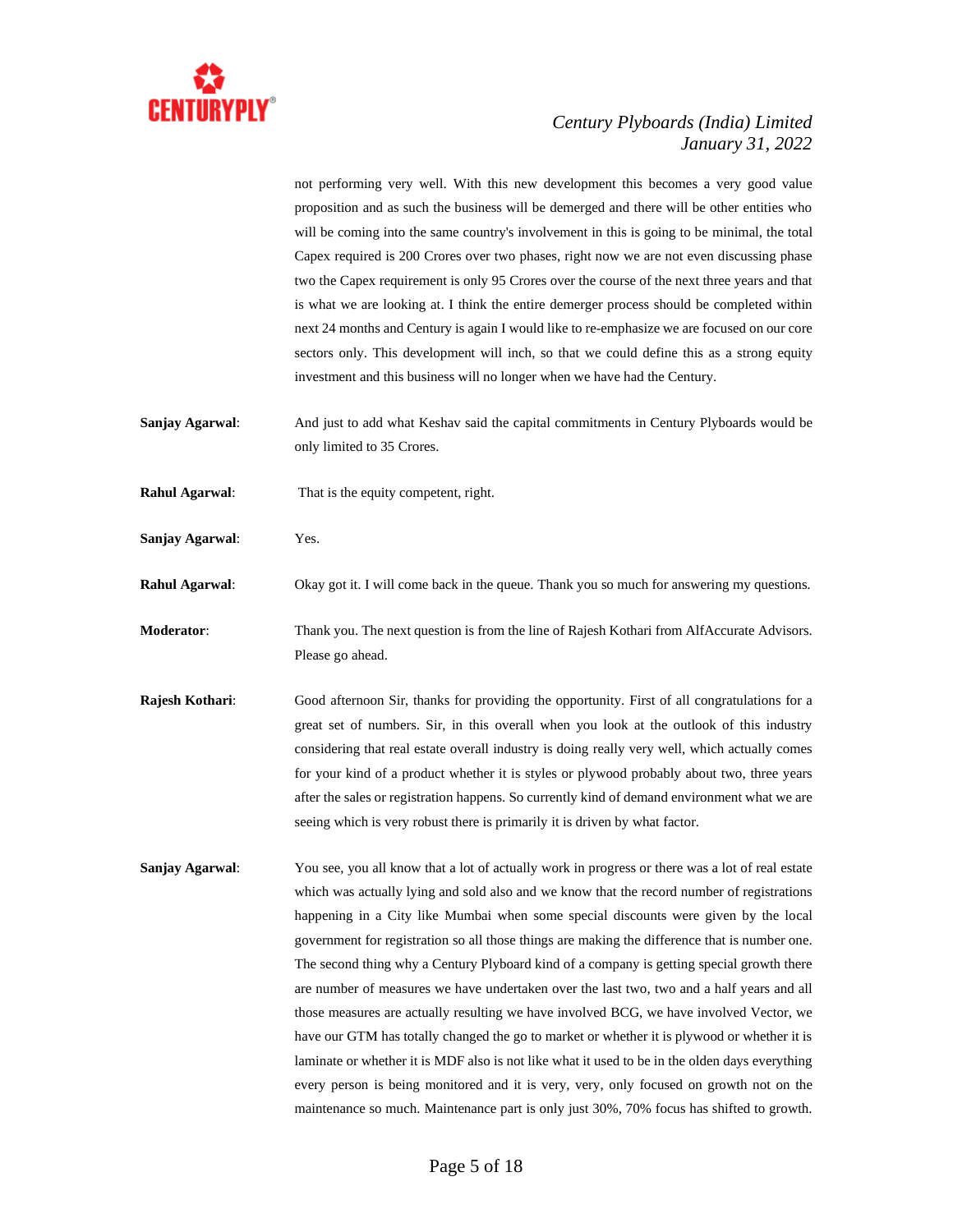

not performing very well. With this new development this becomes a very good value proposition and as such the business will be demerged and there will be other entities who will be coming into the same country's involvement in this is going to be minimal, the total Capex required is 200 Crores over two phases, right now we are not even discussing phase two the Capex requirement is only 95 Crores over the course of the next three years and that is what we are looking at. I think the entire demerger process should be completed within next 24 months and Century is again I would like to re-emphasize we are focused on our core sectors only. This development will inch, so that we could define this as a strong equity investment and this business will no longer when we have had the Century.

- **Sanjay Agarwal**: And just to add what Keshav said the capital commitments in Century Plyboards would be only limited to 35 Crores.
- **Rahul Agarwal**: That is the equity competent, right.
- **Sanjay Agarwal**: Yes.
- **Rahul Agarwal:** Okay got it. I will come back in the queue. Thank you so much for answering my questions.
- **Moderator**: Thank you. The next question is from the line of Rajesh Kothari from AlfAccurate Advisors. Please go ahead.
- **Rajesh Kothari**: Good afternoon Sir, thanks for providing the opportunity. First of all congratulations for a great set of numbers. Sir, in this overall when you look at the outlook of this industry considering that real estate overall industry is doing really very well, which actually comes for your kind of a product whether it is styles or plywood probably about two, three years after the sales or registration happens. So currently kind of demand environment what we are seeing which is very robust there is primarily it is driven by what factor.
- **Sanjay Agarwal:** You see, you all know that a lot of actually work in progress or there was a lot of real estate which was actually lying and sold also and we know that the record number of registrations happening in a City like Mumbai when some special discounts were given by the local government for registration so all those things are making the difference that is number one. The second thing why a Century Plyboard kind of a company is getting special growth there are number of measures we have undertaken over the last two, two and a half years and all those measures are actually resulting we have involved BCG, we have involved Vector, we have our GTM has totally changed the go to market or whether it is plywood or whether it is laminate or whether it is MDF also is not like what it used to be in the olden days everything every person is being monitored and it is very, very, only focused on growth not on the maintenance so much. Maintenance part is only just 30%, 70% focus has shifted to growth.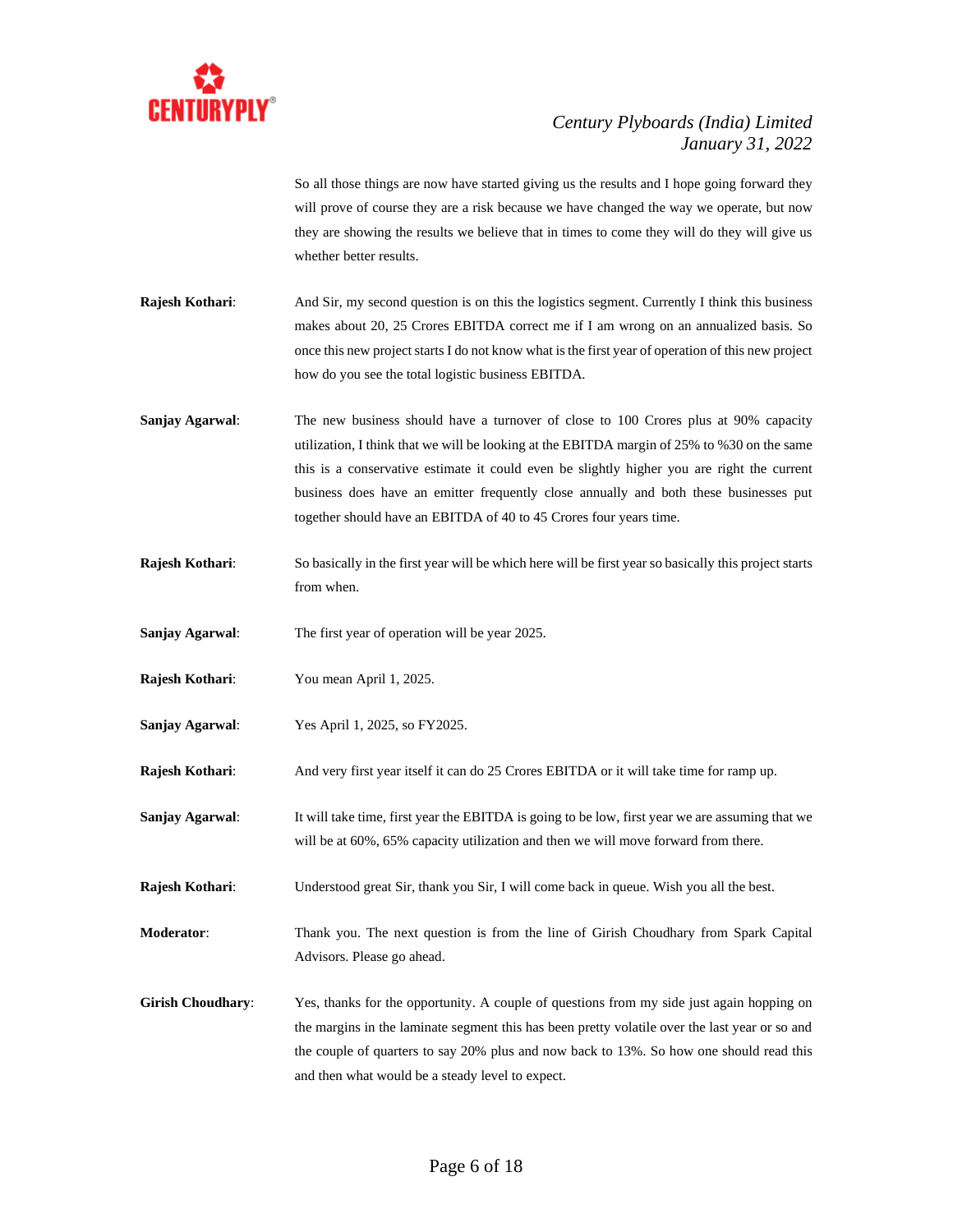

So all those things are now have started giving us the results and I hope going forward they will prove of course they are a risk because we have changed the way we operate, but now they are showing the results we believe that in times to come they will do they will give us whether better results.

- **Rajesh Kothari:** And Sir, my second question is on this the logistics segment. Currently I think this business makes about 20, 25 Crores EBITDA correct me if I am wrong on an annualized basis. So once this new project starts I do not know what is the first year of operation of this new project how do you see the total logistic business EBITDA.
- **Sanjay Agarwal:** The new business should have a turnover of close to 100 Crores plus at 90% capacity utilization, I think that we will be looking at the EBITDA margin of 25% to %30 on the same this is a conservative estimate it could even be slightly higher you are right the current business does have an emitter frequently close annually and both these businesses put together should have an EBITDA of 40 to 45 Crores four years time.
- **Rajesh Kothari**: So basically in the first year will be which here will be first year so basically this project starts from when.
- **Sanjay Agarwal**: The first year of operation will be year 2025.
- **Rajesh Kothari**: You mean April 1, 2025.
- **Sanjay Agarwal**: Yes April 1, 2025, so FY2025.
- **Rajesh Kothari**: And very first year itself it can do 25 Crores EBITDA or it will take time for ramp up.
- **Sanjay Agarwal:** It will take time, first year the EBITDA is going to be low, first year we are assuming that we will be at  $60\%$ ,  $65\%$  capacity utilization and then we will move forward from there.
- **Rajesh Kothari**: Understood great Sir, thank you Sir, I will come back in queue. Wish you all the best.
- **Moderator**: Thank you. The next question is from the line of Girish Choudhary from Spark Capital Advisors. Please go ahead.
- Girish Choudhary: Yes, thanks for the opportunity. A couple of questions from my side just again hopping on the margins in the laminate segment this has been pretty volatile over the last year or so and the couple of quarters to say 20% plus and now back to 13%. So how one should read this and then what would be a steady level to expect.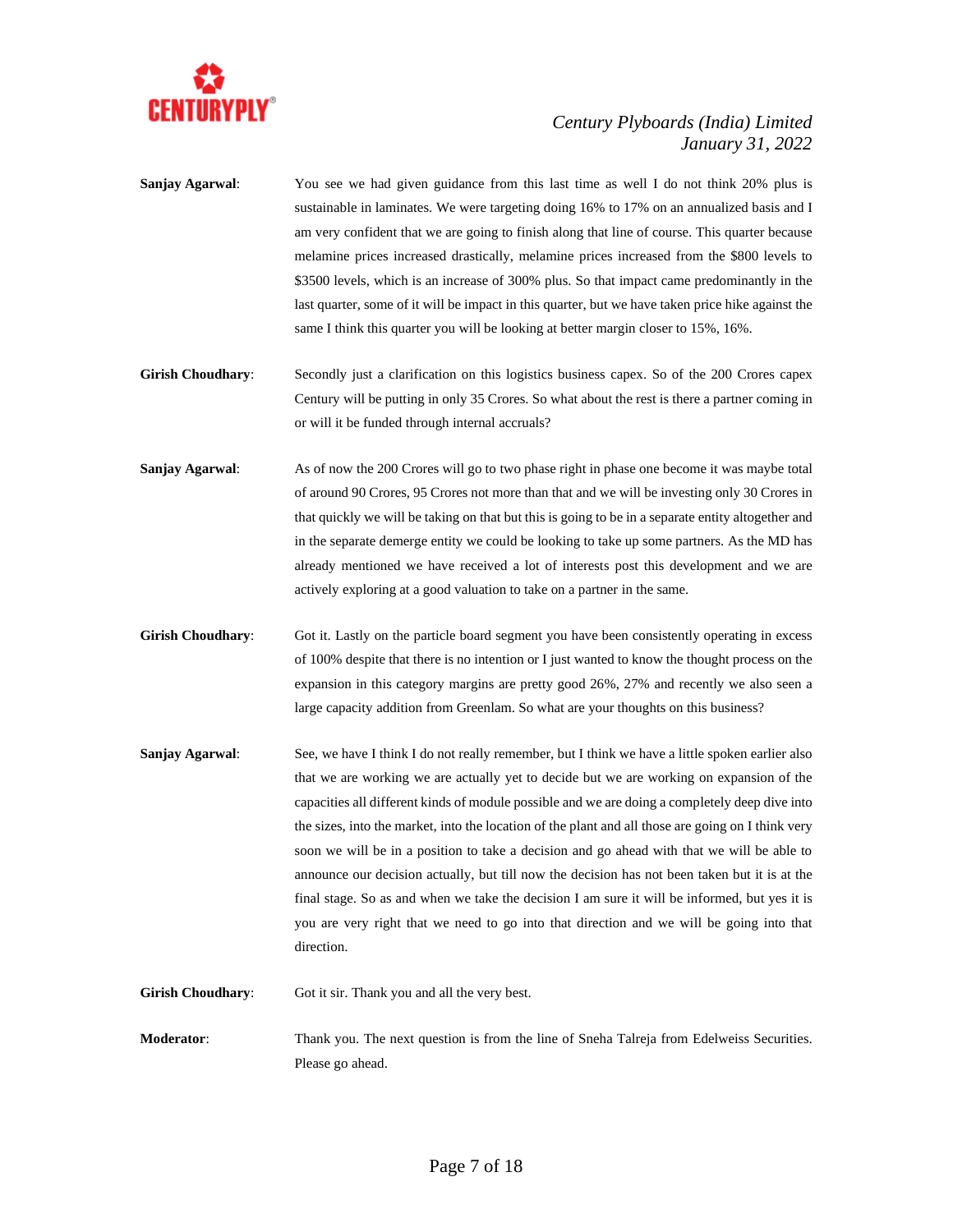

- **Sanjay Agarwal**: You see we had given guidance from this last time as well I do not think 20% plus is sustainable in laminates. We were targeting doing 16% to 17% on an annualized basis and I am very confident that we are going to finish along that line of course. This quarter because melamine prices increased drastically, melamine prices increased from the \$800 levels to \$3500 levels, which is an increase of 300% plus. So that impact came predominantly in the last quarter, some of it will be impact in this quarter, but we have taken price hike against the same I think this quarter you will be looking at better margin closer to 15%, 16%.
- Girish Choudhary: Secondly just a clarification on this logistics business capex. So of the 200 Crores capex Century will be putting in only 35 Crores. So what about the rest is there a partner coming in or will it be funded through internal accruals?
- **Sanjay Agarwal**: As of now the 200 Crores will go to two phase right in phase one become it was maybe total of around 90 Crores, 95 Crores not more than that and we will be investing only 30 Crores in that quickly we will be taking on that but this is going to be in a separate entity altogether and in the separate demerge entity we could be looking to take up some partners. As the MD has already mentioned we have received a lot of interests post this development and we are actively exploring at a good valuation to take on a partner in the same.
- **Girish Choudhary:** Got it. Lastly on the particle board segment you have been consistently operating in excess of 100% despite that there is no intention or I just wanted to know the thought process on the expansion in this category margins are pretty good 26%, 27% and recently we also seen a large capacity addition from Greenlam. So what are your thoughts on this business?
- **Sanjay Agarwal:** See, we have I think I do not really remember, but I think we have a little spoken earlier also that we are working we are actually yet to decide but we are working on expansion of the capacities all different kinds of module possible and we are doing a completely deep dive into the sizes, into the market, into the location of the plant and all those are going on I think very soon we will be in a position to take a decision and go ahead with that we will be able to announce our decision actually, but till now the decision has not been taken but it is at the final stage. So as and when we take the decision I am sure it will be informed, but yes it is you are very right that we need to go into that direction and we will be going into that direction.
- Girish Choudhary: Got it sir. Thank you and all the very best.
- **Moderator:** Thank you. The next question is from the line of Sneha Talreja from Edelweiss Securities. Please go ahead.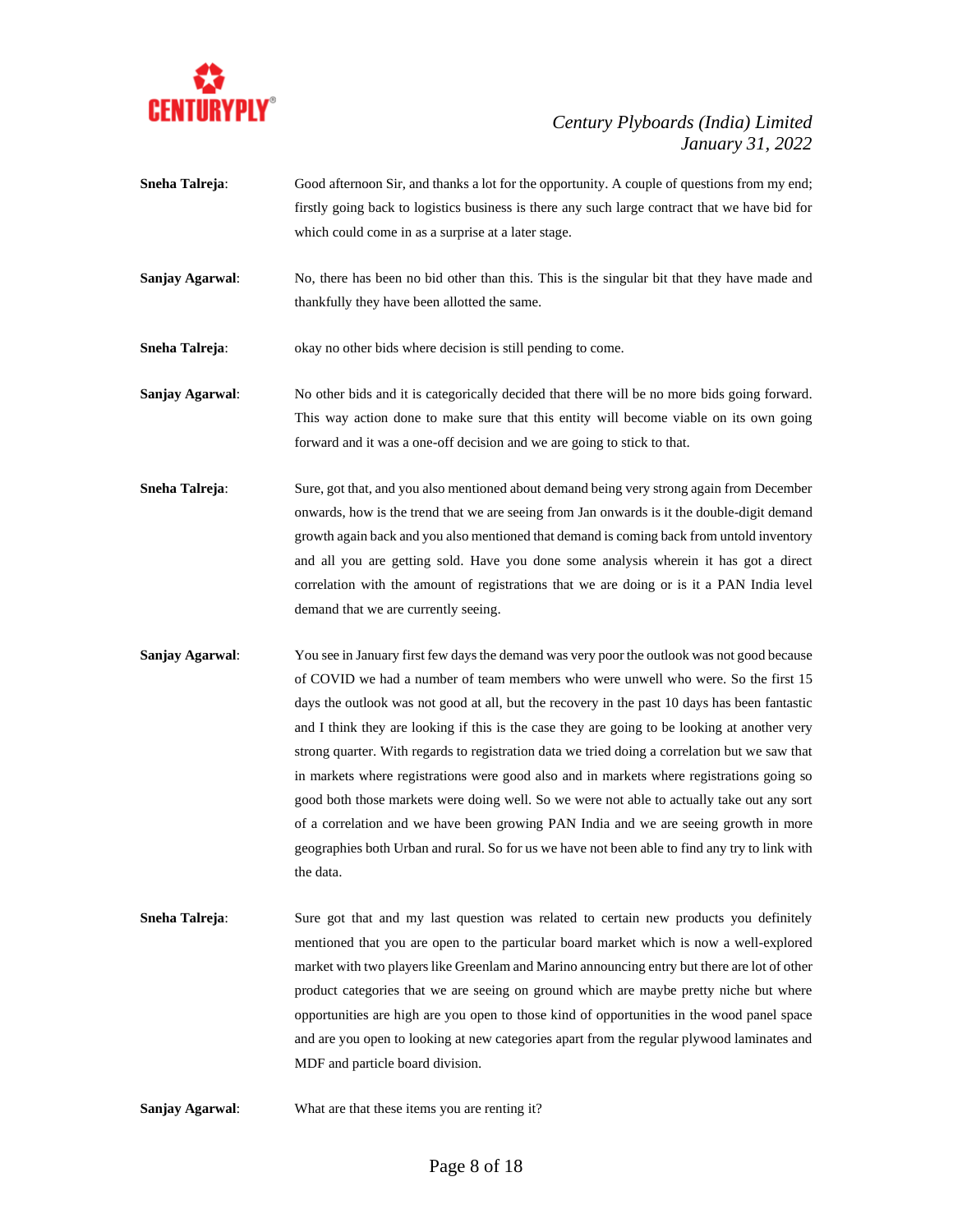

- **Sneha Talreja:** Good afternoon Sir, and thanks a lot for the opportunity. A couple of questions from my end; firstly going back to logistics business is there any such large contract that we have bid for which could come in as a surprise at a later stage.
- **Sanjay Agarwal:** No, there has been no bid other than this. This is the singular bit that they have made and thankfully they have been allotted the same.
- **Sneha Talreja:** okay no other bids where decision is still pending to come.
- **Sanjay Agarwal**: No other bids and it is categorically decided that there will be no more bids going forward. This way action done to make sure that this entity will become viable on its own going forward and it was a one-off decision and we are going to stick to that.
- **Sneha Talreja:** Sure, got that, and you also mentioned about demand being very strong again from December onwards, how is the trend that we are seeing from Jan onwards is it the double-digit demand growth again back and you also mentioned that demand is coming back from untold inventory and all you are getting sold. Have you done some analysis wherein it has got a direct correlation with the amount of registrations that we are doing or is it a PAN India level demand that we are currently seeing.
- **Sanjay Agarwal:** You see in January first few days the demand was very poor the outlook was not good because of COVID we had a number of team members who were unwell who were. So the first 15 days the outlook was not good at all, but the recovery in the past 10 days has been fantastic and I think they are looking if this is the case they are going to be looking at another very strong quarter. With regards to registration data we tried doing a correlation but we saw that in markets where registrations were good also and in markets where registrations going so good both those markets were doing well. So we were not able to actually take out any sort of a correlation and we have been growing PAN India and we are seeing growth in more geographies both Urban and rural. So for us we have not been able to find any try to link with the data.
- **Sneha Talreja:** Sure got that and my last question was related to certain new products you definitely mentioned that you are open to the particular board market which is now a well-explored market with two players like Greenlam and Marino announcing entry but there are lot of other product categories that we are seeing on ground which are maybe pretty niche but where opportunities are high are you open to those kind of opportunities in the wood panel space and are you open to looking at new categories apart from the regular plywood laminates and MDF and particle board division.
- **Sanjay Agarwal**: What are that these items you are renting it?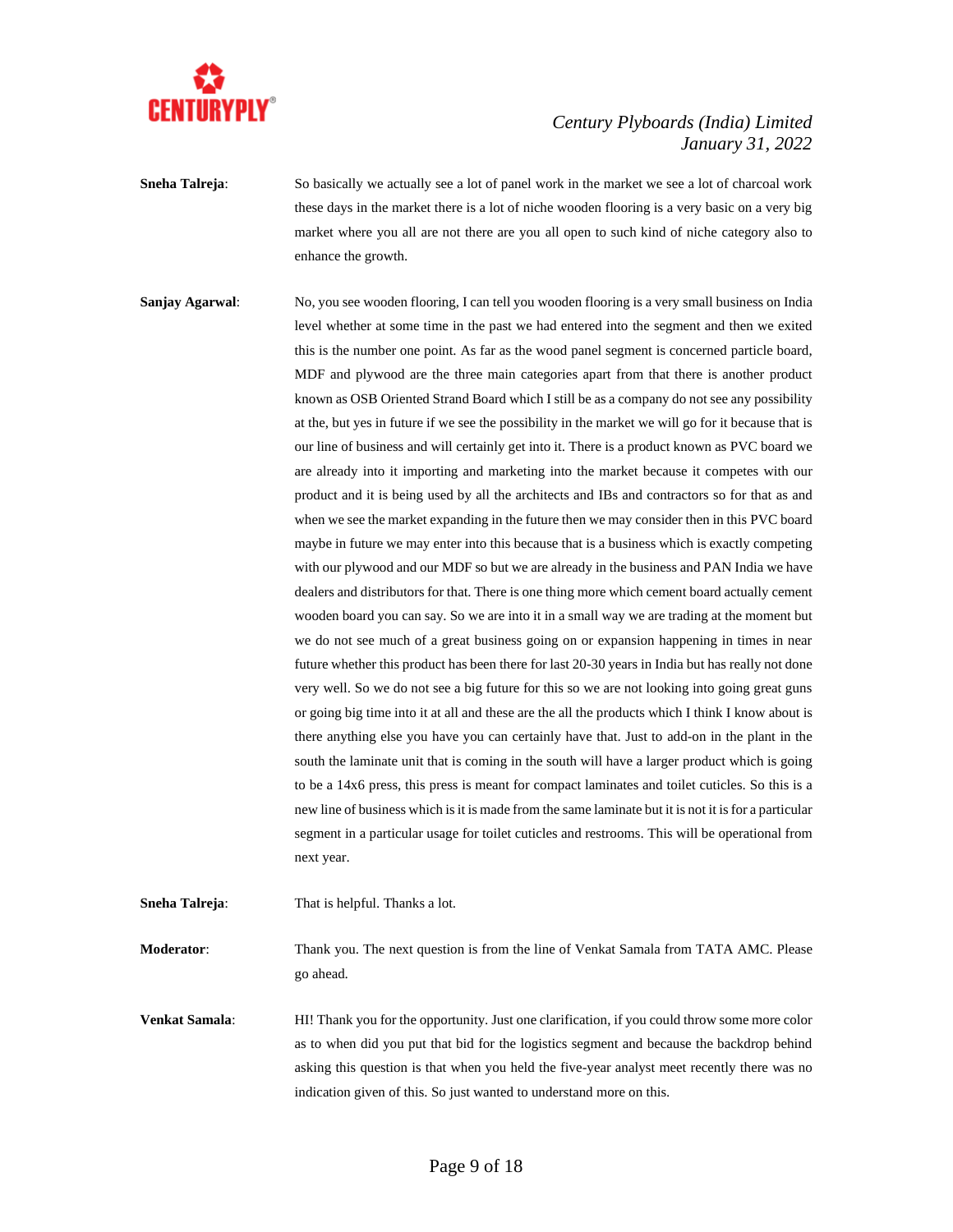

**Sneha Talreja:** So basically we actually see a lot of panel work in the market we see a lot of charcoal work these days in the market there is a lot of niche wooden flooring is a very basic on a very big market where you all are not there are you all open to such kind of niche category also to enhance the growth.

**Sanjay Agarwal:** No, you see wooden flooring, I can tell you wooden flooring is a very small business on India level whether at some time in the past we had entered into the segment and then we exited this is the number one point. As far as the wood panel segment is concerned particle board, MDF and plywood are the three main categories apart from that there is another product known as OSB Oriented Strand Board which I still be as a company do not see any possibility at the, but yes in future if we see the possibility in the market we will go for it because that is our line of business and will certainly get into it. There is a product known as PVC board we are already into it importing and marketing into the market because it competes with our product and it is being used by all the architects and IBs and contractors so for that as and when we see the market expanding in the future then we may consider then in this PVC board maybe in future we may enter into this because that is a business which is exactly competing with our plywood and our MDF so but we are already in the business and PAN India we have dealers and distributors for that. There is one thing more which cement board actually cement wooden board you can say. So we are into it in a small way we are trading at the moment but we do not see much of a great business going on or expansion happening in times in near future whether this product has been there for last 20-30 years in India but has really not done very well. So we do not see a big future for this so we are not looking into going great guns or going big time into it at all and these are the all the products which I think I know about is there anything else you have you can certainly have that. Just to add-on in the plant in the south the laminate unit that is coming in the south will have a larger product which is going to be a 14x6 press, this press is meant for compact laminates and toilet cuticles. So this is a new line of business which is it is made from the same laminate but it is not it is for a particular segment in a particular usage for toilet cuticles and restrooms. This will be operational from next year.

**Sneha Talreja:** That is helpful. Thanks a lot.

**Moderator**: Thank you. The next question is from the line of Venkat Samala from TATA AMC. Please go ahead.

**Venkat Samala**: HI! Thank you for the opportunity. Just one clarification, if you could throw some more color as to when did you put that bid for the logistics segment and because the backdrop behind asking this question is that when you held the five-year analyst meet recently there was no indication given of this. So just wanted to understand more on this.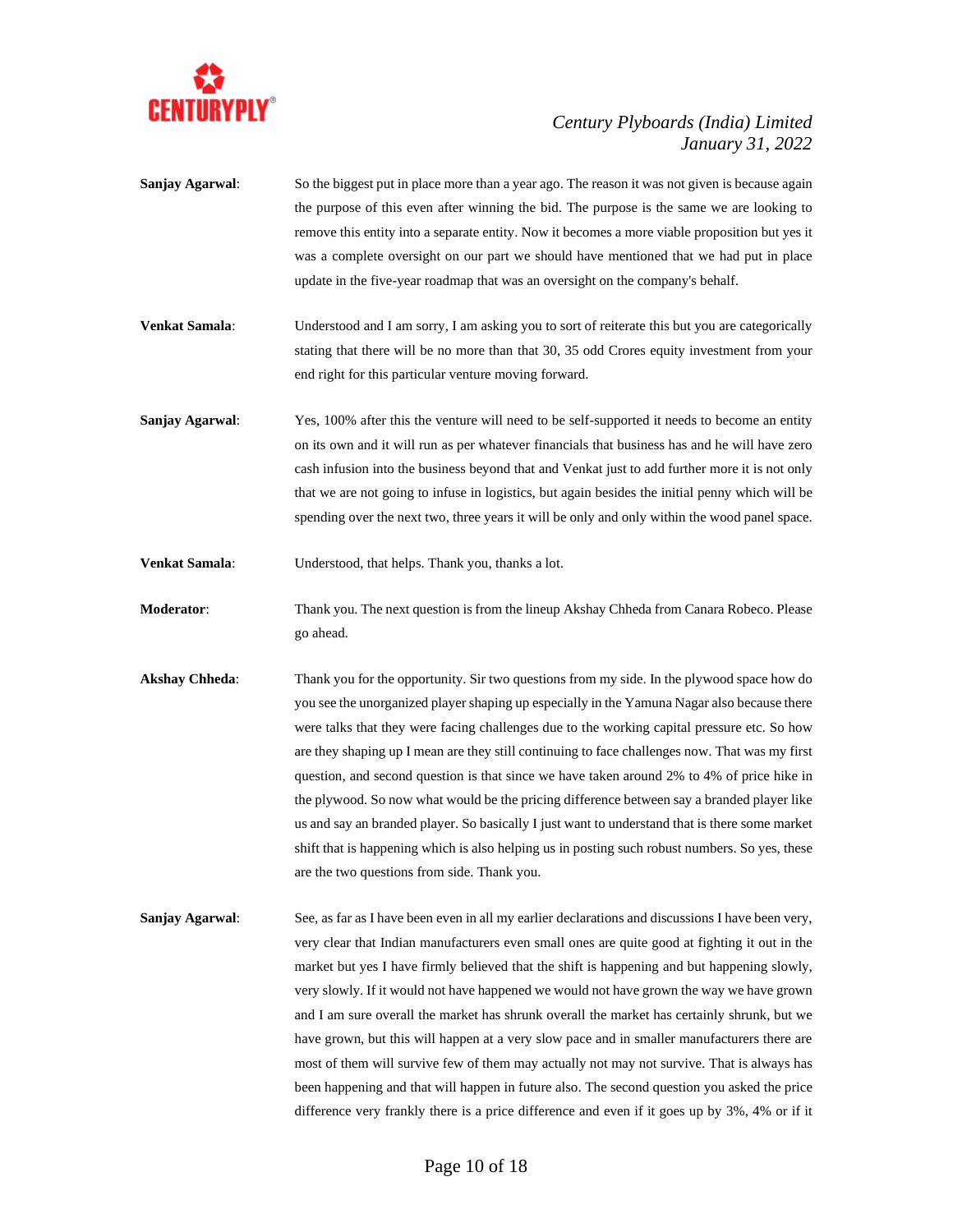

- **Sanjay Agarwal:** So the biggest put in place more than a year ago. The reason it was not given is because again the purpose of this even after winning the bid. The purpose is the same we are looking to remove this entity into a separate entity. Now it becomes a more viable proposition but yes it was a complete oversight on our part we should have mentioned that we had put in place update in the five-year roadmap that was an oversight on the company's behalf.
- **Venkat Samala**: Understood and I am sorry, I am asking you to sort of reiterate this but you are categorically stating that there will be no more than that 30, 35 odd Crores equity investment from your end right for this particular venture moving forward.
- **Sanjay Agarwal:** Yes, 100% after this the venture will need to be self-supported it needs to become an entity on its own and it will run as per whatever financials that business has and he will have zero cash infusion into the business beyond that and Venkat just to add further more it is not only that we are not going to infuse in logistics, but again besides the initial penny which will be spending over the next two, three years it will be only and only within the wood panel space.
- **Venkat Samala**: Understood, that helps. Thank you, thanks a lot.
- **Moderator**: Thank you. The next question is from the lineup Akshay Chheda from Canara Robeco. Please go ahead.
- **Akshay Chheda**: Thank you for the opportunity. Sir two questions from my side. In the plywood space how do you see the unorganized player shaping up especially in the Yamuna Nagar also because there were talks that they were facing challenges due to the working capital pressure etc. So how are they shaping up I mean are they still continuing to face challenges now. That was my first question, and second question is that since we have taken around 2% to 4% of price hike in the plywood. So now what would be the pricing difference between say a branded player like us and say an branded player. So basically I just want to understand that is there some market shift that is happening which is also helping us in posting such robust numbers. So yes, these are the two questions from side. Thank you.
- **Sanjay Agarwal:** See, as far as I have been even in all my earlier declarations and discussions I have been very, very clear that Indian manufacturers even small ones are quite good at fighting it out in the market but yes I have firmly believed that the shift is happening and but happening slowly, very slowly. If it would not have happened we would not have grown the way we have grown and I am sure overall the market has shrunk overall the market has certainly shrunk, but we have grown, but this will happen at a very slow pace and in smaller manufacturers there are most of them will survive few of them may actually not may not survive. That is always has been happening and that will happen in future also. The second question you asked the price difference very frankly there is a price difference and even if it goes up by 3%, 4% or if it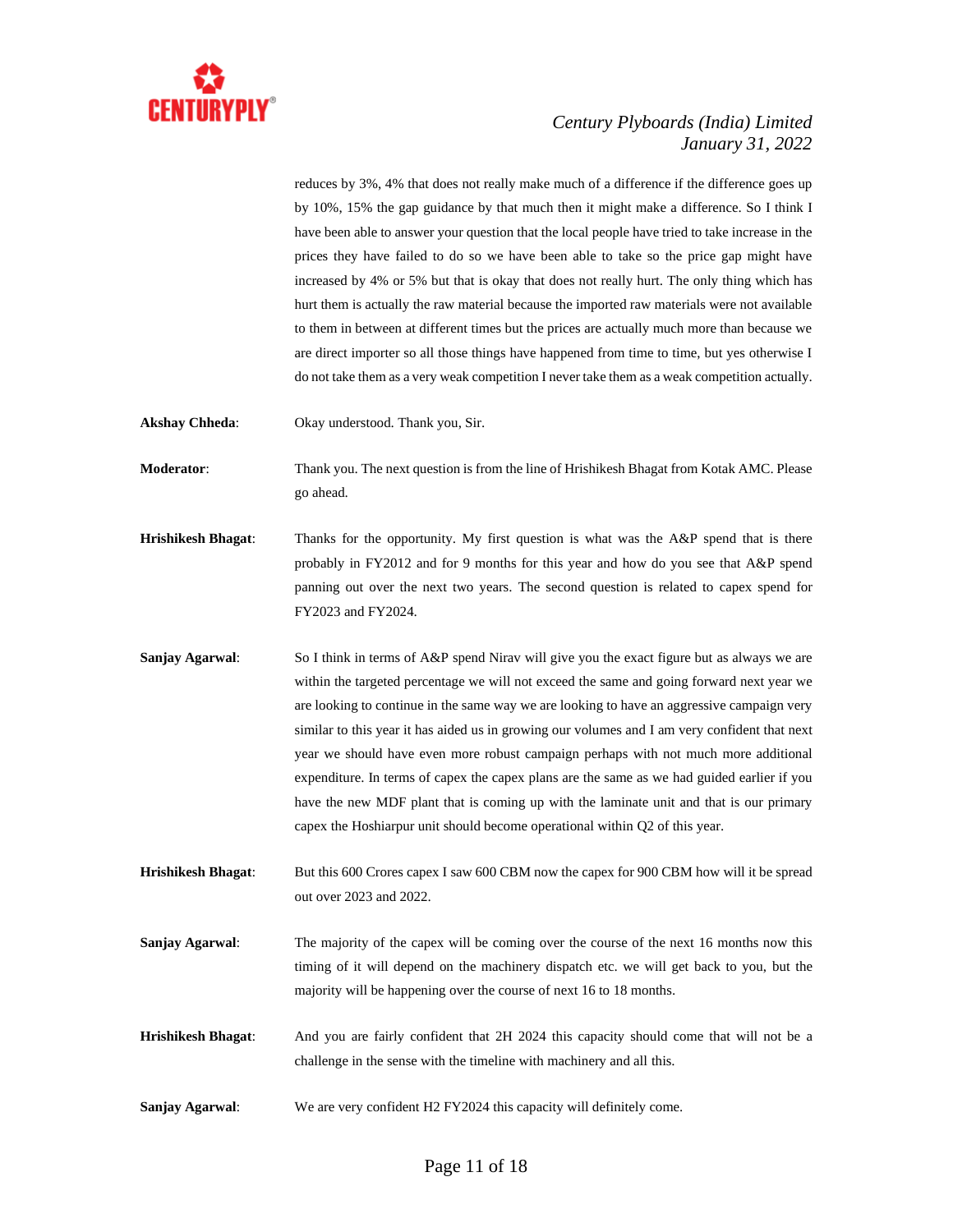

reduces by 3%, 4% that does not really make much of a difference if the difference goes up by 10%, 15% the gap guidance by that much then it might make a difference. So I think I have been able to answer your question that the local people have tried to take increase in the prices they have failed to do so we have been able to take so the price gap might have increased by 4% or 5% but that is okay that does not really hurt. The only thing which has hurt them is actually the raw material because the imported raw materials were not available to them in between at different times but the prices are actually much more than because we are direct importer so all those things have happened from time to time, but yes otherwise I do not take them as a very weak competition I never take them as a weak competition actually.

**Akshay Chheda**: Okay understood. Thank you, Sir.

**Moderator**: Thank you. The next question is from the line of Hrishikesh Bhagat from Kotak AMC. Please go ahead.

**Hrishikesh Bhagat**: Thanks for the opportunity. My first question is what was the A&P spend that is there probably in FY2012 and for 9 months for this year and how do you see that A&P spend panning out over the next two years. The second question is related to capex spend for FY2023 and FY2024.

**Sanjay Agarwal:** So I think in terms of A&P spend Nirav will give you the exact figure but as always we are within the targeted percentage we will not exceed the same and going forward next year we are looking to continue in the same way we are looking to have an aggressive campaign very similar to this year it has aided us in growing our volumes and I am very confident that next year we should have even more robust campaign perhaps with not much more additional expenditure. In terms of capex the capex plans are the same as we had guided earlier if you have the new MDF plant that is coming up with the laminate unit and that is our primary capex the Hoshiarpur unit should become operational within Q2 of this year.

**Hrishikesh Bhagat:** But this 600 Crores capex I saw 600 CBM now the capex for 900 CBM how will it be spread out over 2023 and 2022.

- **Sanjay Agarwal:** The majority of the capex will be coming over the course of the next 16 months now this timing of it will depend on the machinery dispatch etc. we will get back to you, but the majority will be happening over the course of next 16 to 18 months.
- **Hrishikesh Bhagat**: And you are fairly confident that 2H 2024 this capacity should come that will not be a challenge in the sense with the timeline with machinery and all this.
- **Sanjay Agarwal:** We are very confident H2 FY2024 this capacity will definitely come.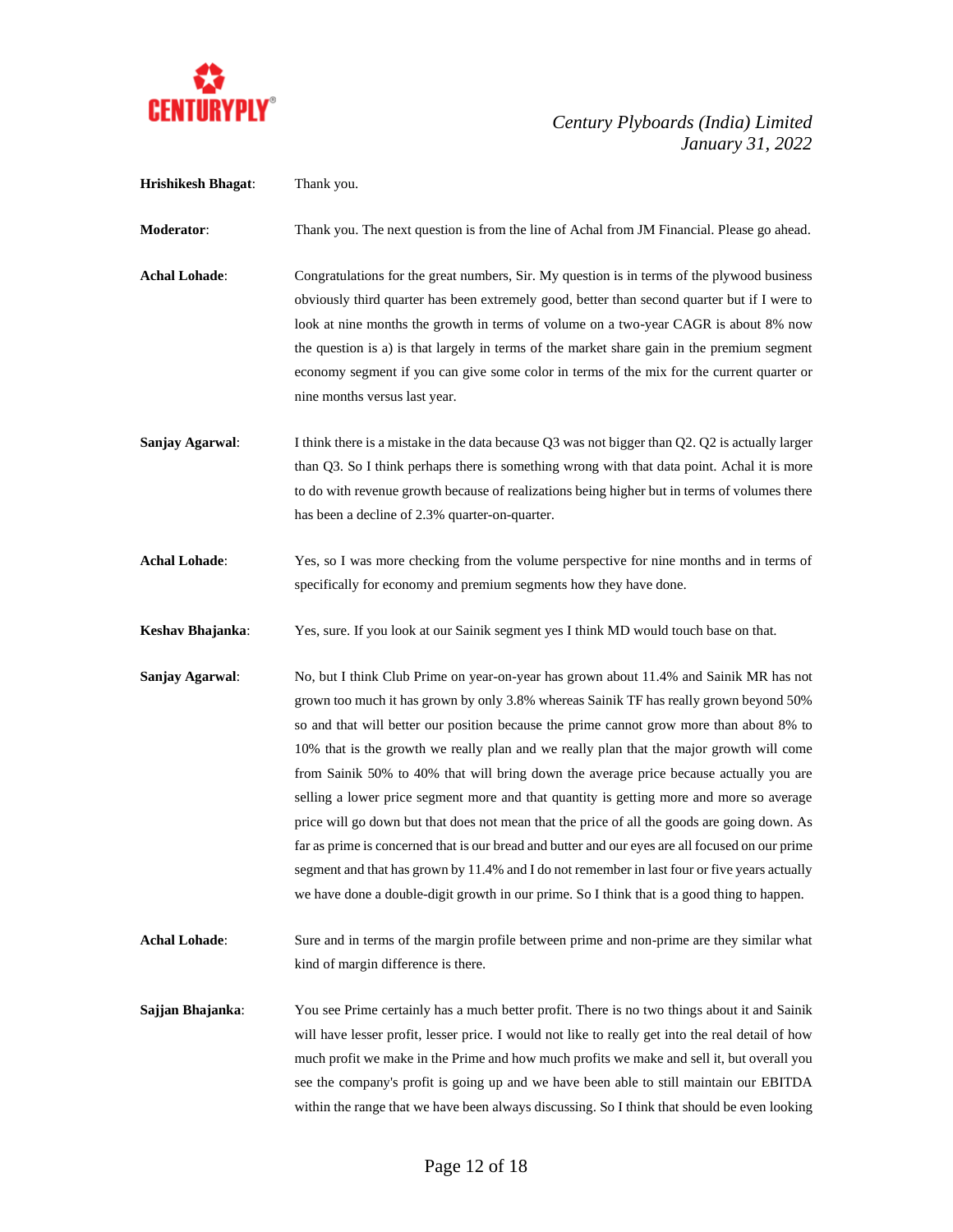

| <b>Hrishikesh Bhagat:</b> | Thank you.                                                                                                                                                                                                                                                                                                                                                                                                                                                                                                                                                                                                                                                                                                                                                                                                                                                                                                                                                         |
|---------------------------|--------------------------------------------------------------------------------------------------------------------------------------------------------------------------------------------------------------------------------------------------------------------------------------------------------------------------------------------------------------------------------------------------------------------------------------------------------------------------------------------------------------------------------------------------------------------------------------------------------------------------------------------------------------------------------------------------------------------------------------------------------------------------------------------------------------------------------------------------------------------------------------------------------------------------------------------------------------------|
| Moderator:                | Thank you. The next question is from the line of Achal from JM Financial. Please go ahead.                                                                                                                                                                                                                                                                                                                                                                                                                                                                                                                                                                                                                                                                                                                                                                                                                                                                         |
| <b>Achal Lohade:</b>      | Congratulations for the great numbers, Sir. My question is in terms of the plywood business<br>obviously third quarter has been extremely good, better than second quarter but if I were to<br>look at nine months the growth in terms of volume on a two-year CAGR is about 8% now<br>the question is a) is that largely in terms of the market share gain in the premium segment<br>economy segment if you can give some color in terms of the mix for the current quarter or<br>nine months versus last year.                                                                                                                                                                                                                                                                                                                                                                                                                                                   |
| Sanjay Agarwal:           | I think there is a mistake in the data because Q3 was not bigger than Q2. Q2 is actually larger<br>than Q3. So I think perhaps there is something wrong with that data point. Achal it is more<br>to do with revenue growth because of realizations being higher but in terms of volumes there<br>has been a decline of 2.3% quarter-on-quarter.                                                                                                                                                                                                                                                                                                                                                                                                                                                                                                                                                                                                                   |
| <b>Achal Lohade:</b>      | Yes, so I was more checking from the volume perspective for nine months and in terms of<br>specifically for economy and premium segments how they have done.                                                                                                                                                                                                                                                                                                                                                                                                                                                                                                                                                                                                                                                                                                                                                                                                       |
| Keshav Bhajanka:          | Yes, sure. If you look at our Sainik segment yes I think MD would touch base on that.                                                                                                                                                                                                                                                                                                                                                                                                                                                                                                                                                                                                                                                                                                                                                                                                                                                                              |
| Sanjay Agarwal:           | No, but I think Club Prime on year-on-year has grown about 11.4% and Sainik MR has not<br>grown too much it has grown by only 3.8% whereas Sainik TF has really grown beyond 50%<br>so and that will better our position because the prime cannot grow more than about 8% to<br>10% that is the growth we really plan and we really plan that the major growth will come<br>from Sainik 50% to 40% that will bring down the average price because actually you are<br>selling a lower price segment more and that quantity is getting more and more so average<br>price will go down but that does not mean that the price of all the goods are going down. As<br>far as prime is concerned that is our bread and butter and our eyes are all focused on our prime<br>segment and that has grown by 11.4% and I do not remember in last four or five years actually<br>we have done a double-digit growth in our prime. So I think that is a good thing to happen. |
| <b>Achal Lohade:</b>      | Sure and in terms of the margin profile between prime and non-prime are they similar what<br>kind of margin difference is there.                                                                                                                                                                                                                                                                                                                                                                                                                                                                                                                                                                                                                                                                                                                                                                                                                                   |
| Sajjan Bhajanka:          | You see Prime certainly has a much better profit. There is no two things about it and Sainik<br>will have lesser profit, lesser price. I would not like to really get into the real detail of how<br>much profit we make in the Prime and how much profits we make and sell it, but overall you<br>see the company's profit is going up and we have been able to still maintain our EBITDA<br>within the range that we have been always discussing. So I think that should be even looking                                                                                                                                                                                                                                                                                                                                                                                                                                                                         |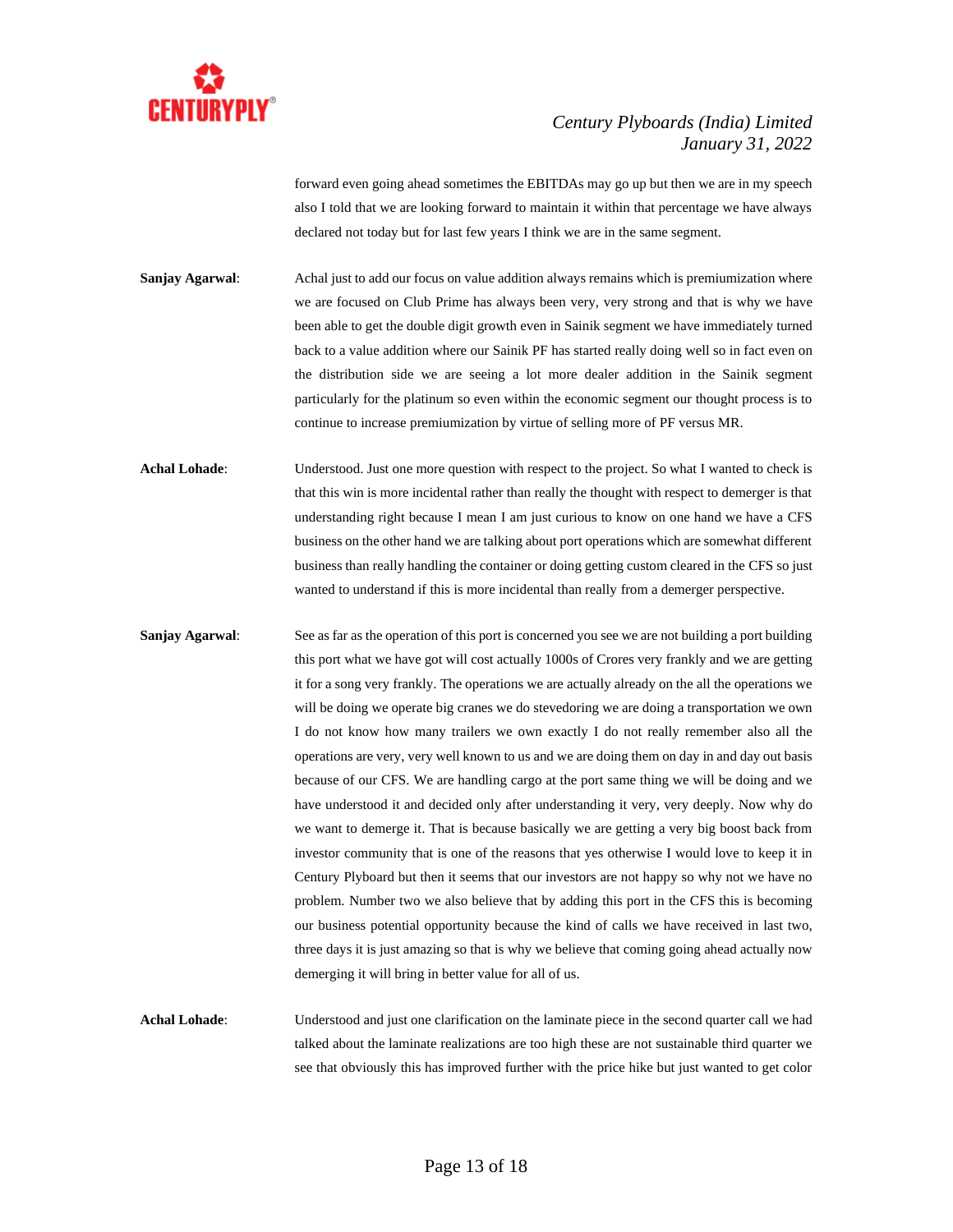

forward even going ahead sometimes the EBITDAs may go up but then we are in my speech also I told that we are looking forward to maintain it within that percentage we have always declared not today but for last few years I think we are in the same segment.

**Sanjay Agarwal:** Achal just to add our focus on value addition always remains which is premiumization where we are focused on Club Prime has always been very, very strong and that is why we have been able to get the double digit growth even in Sainik segment we have immediately turned back to a value addition where our Sainik PF has started really doing well so in fact even on the distribution side we are seeing a lot more dealer addition in the Sainik segment particularly for the platinum so even within the economic segment our thought process is to continue to increase premiumization by virtue of selling more of PF versus MR.

Achal Lohade: Understood. Just one more question with respect to the project. So what I wanted to check is that this win is more incidental rather than really the thought with respect to demerger is that understanding right because I mean I am just curious to know on one hand we have a CFS business on the other hand we are talking about port operations which are somewhat different business than really handling the container or doing getting custom cleared in the CFS so just wanted to understand if this is more incidental than really from a demerger perspective.

**Sanjay Agarwal**: See as far as the operation of this port is concerned you see we are not building a port building this port what we have got will cost actually 1000s of Crores very frankly and we are getting it for a song very frankly. The operations we are actually already on the all the operations we will be doing we operate big cranes we do stevedoring we are doing a transportation we own I do not know how many trailers we own exactly I do not really remember also all the operations are very, very well known to us and we are doing them on day in and day out basis because of our CFS. We are handling cargo at the port same thing we will be doing and we have understood it and decided only after understanding it very, very deeply. Now why do we want to demerge it. That is because basically we are getting a very big boost back from investor community that is one of the reasons that yes otherwise I would love to keep it in Century Plyboard but then it seems that our investors are not happy so why not we have no problem. Number two we also believe that by adding this port in the CFS this is becoming our business potential opportunity because the kind of calls we have received in last two, three days it is just amazing so that is why we believe that coming going ahead actually now demerging it will bring in better value for all of us.

**Achal Lohade**: Understood and just one clarification on the laminate piece in the second quarter call we had talked about the laminate realizations are too high these are not sustainable third quarter we see that obviously this has improved further with the price hike but just wanted to get color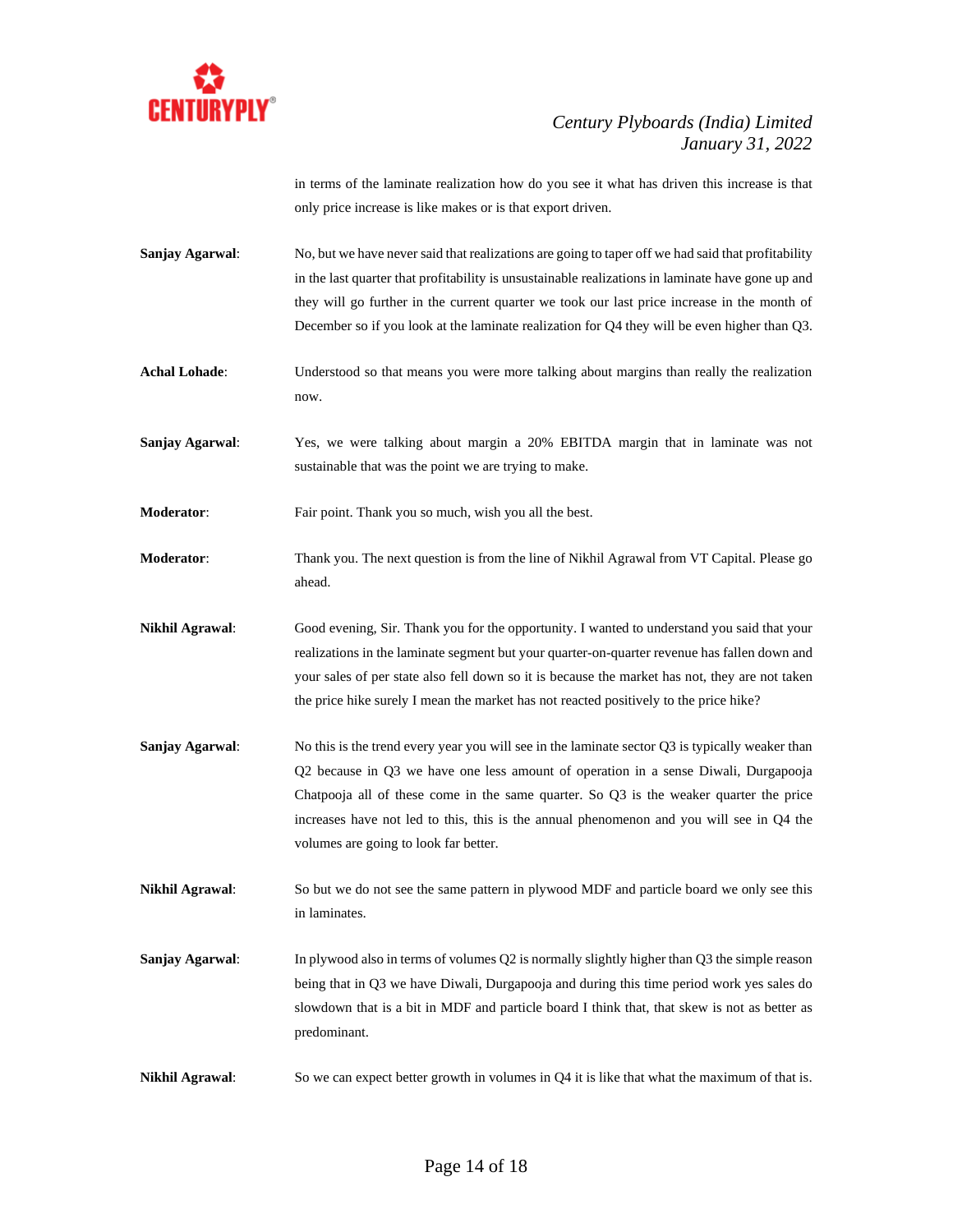

in terms of the laminate realization how do you see it what has driven this increase is that only price increase is like makes or is that export driven.

- **Sanjay Agarwal:** No, but we have never said that realizations are going to taper off we had said that profitability in the last quarter that profitability is unsustainable realizations in laminate have gone up and they will go further in the current quarter we took our last price increase in the month of December so if you look at the laminate realization for Q4 they will be even higher than Q3.
- **Achal Lohade**: Understood so that means you were more talking about margins than really the realization now.
- **Sanjay Agarwal**: Yes, we were talking about margin a 20% EBITDA margin that in laminate was not sustainable that was the point we are trying to make.
- **Moderator:** Fair point. Thank you so much, wish you all the best.
- **Moderator:** Thank you. The next question is from the line of Nikhil Agrawal from VT Capital. Please go ahead.
- **Nikhil Agrawal**: Good evening, Sir. Thank you for the opportunity. I wanted to understand you said that your realizations in the laminate segment but your quarter-on-quarter revenue has fallen down and your sales of per state also fell down so it is because the market has not, they are not taken the price hike surely I mean the market has not reacted positively to the price hike?
- **Sanjay Agarwal:** No this is the trend every year you will see in the laminate sector Q3 is typically weaker than Q2 because in Q3 we have one less amount of operation in a sense Diwali, Durgapooja Chatpooja all of these come in the same quarter. So Q3 is the weaker quarter the price increases have not led to this, this is the annual phenomenon and you will see in Q4 the volumes are going to look far better.
- **Nikhil Agrawal**: So but we do not see the same pattern in plywood MDF and particle board we only see this in laminates.
- **Sanjay Agarwal:** In plywood also in terms of volumes Q2 is normally slightly higher than Q3 the simple reason being that in Q3 we have Diwali, Durgapooja and during this time period work yes sales do slowdown that is a bit in MDF and particle board I think that, that skew is not as better as predominant.
- **Nikhil Agrawal:** So we can expect better growth in volumes in Q4 it is like that what the maximum of that is.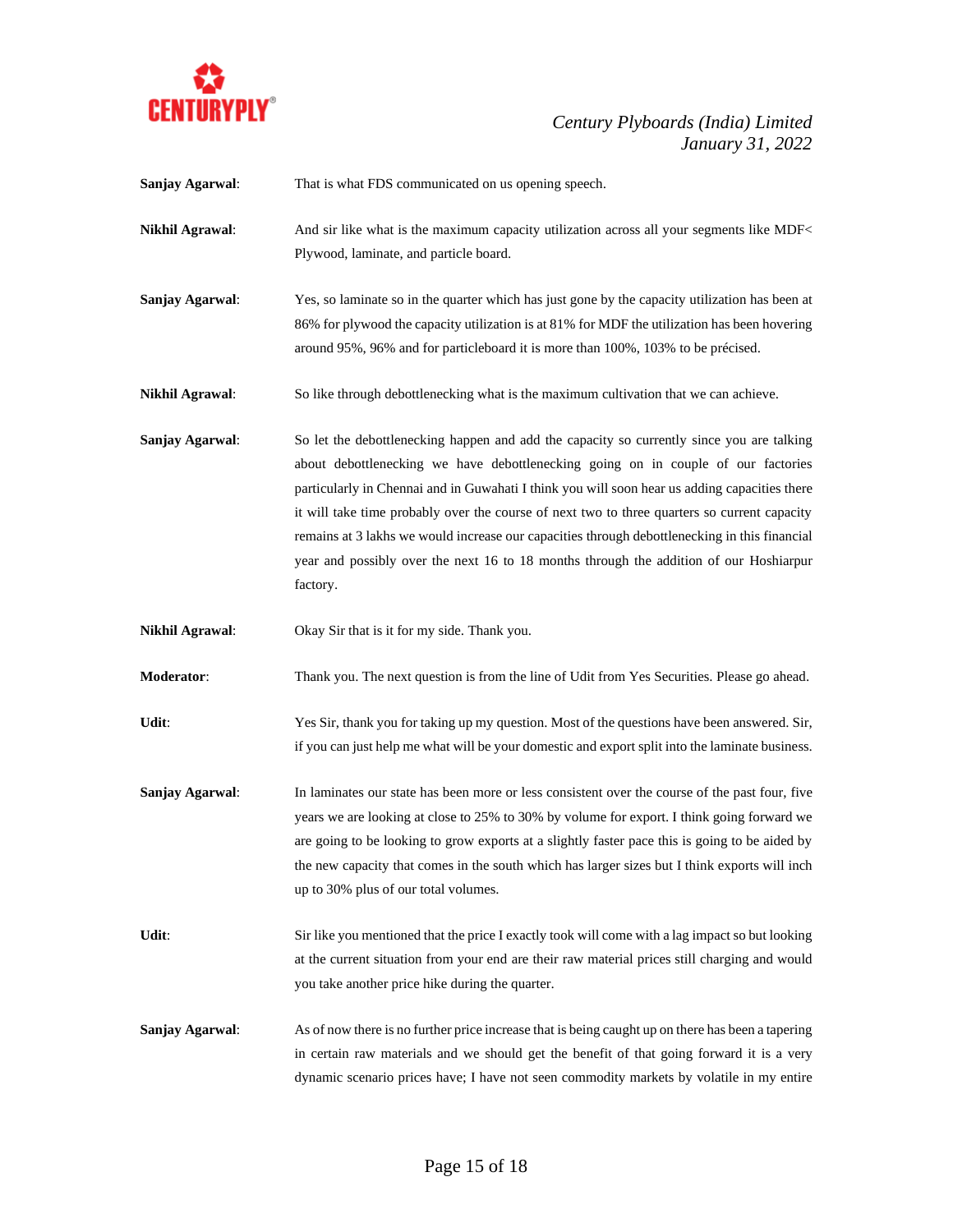

| Sanjay Agarwal:        | That is what FDS communicated on us opening speech.                                                                                                                                                                                                                                                                                                                                                                                                                                                                                                                                    |
|------------------------|----------------------------------------------------------------------------------------------------------------------------------------------------------------------------------------------------------------------------------------------------------------------------------------------------------------------------------------------------------------------------------------------------------------------------------------------------------------------------------------------------------------------------------------------------------------------------------------|
| <b>Nikhil Agrawal:</b> | And sir like what is the maximum capacity utilization across all your segments like MDF<<br>Plywood, laminate, and particle board.                                                                                                                                                                                                                                                                                                                                                                                                                                                     |
| Sanjay Agarwal:        | Yes, so laminate so in the quarter which has just gone by the capacity utilization has been at<br>86% for plywood the capacity utilization is at 81% for MDF the utilization has been hovering<br>around 95%, 96% and for particleboard it is more than 100%, 103% to be précised.                                                                                                                                                                                                                                                                                                     |
| <b>Nikhil Agrawal:</b> | So like through debottlenecking what is the maximum cultivation that we can achieve.                                                                                                                                                                                                                                                                                                                                                                                                                                                                                                   |
| Sanjay Agarwal:        | So let the debottlenecking happen and add the capacity so currently since you are talking<br>about debottlenecking we have debottlenecking going on in couple of our factories<br>particularly in Chennai and in Guwahati I think you will soon hear us adding capacities there<br>it will take time probably over the course of next two to three quarters so current capacity<br>remains at 3 lakhs we would increase our capacities through debottlenecking in this financial<br>year and possibly over the next 16 to 18 months through the addition of our Hoshiarpur<br>factory. |
| <b>Nikhil Agrawal:</b> | Okay Sir that is it for my side. Thank you.                                                                                                                                                                                                                                                                                                                                                                                                                                                                                                                                            |
| Moderator:             | Thank you. The next question is from the line of Udit from Yes Securities. Please go ahead.                                                                                                                                                                                                                                                                                                                                                                                                                                                                                            |
| Udit:                  | Yes Sir, thank you for taking up my question. Most of the questions have been answered. Sir,<br>if you can just help me what will be your domestic and export split into the laminate business.                                                                                                                                                                                                                                                                                                                                                                                        |
| Sanjay Agarwal:        | In laminates our state has been more or less consistent over the course of the past four, five<br>years we are looking at close to 25% to 30% by volume for export. I think going forward we<br>are going to be looking to grow exports at a slightly faster pace this is going to be aided by<br>the new capacity that comes in the south which has larger sizes but I think exports will inch<br>up to 30% plus of our total volumes.                                                                                                                                                |
| Udit:                  | Sir like you mentioned that the price I exactly took will come with a lag impact so but looking<br>at the current situation from your end are their raw material prices still charging and would<br>you take another price hike during the quarter.                                                                                                                                                                                                                                                                                                                                    |
| Sanjay Agarwal:        | As of now there is no further price increase that is being caught up on there has been a tapering<br>in certain raw materials and we should get the benefit of that going forward it is a very<br>dynamic scenario prices have; I have not seen commodity markets by volatile in my entire                                                                                                                                                                                                                                                                                             |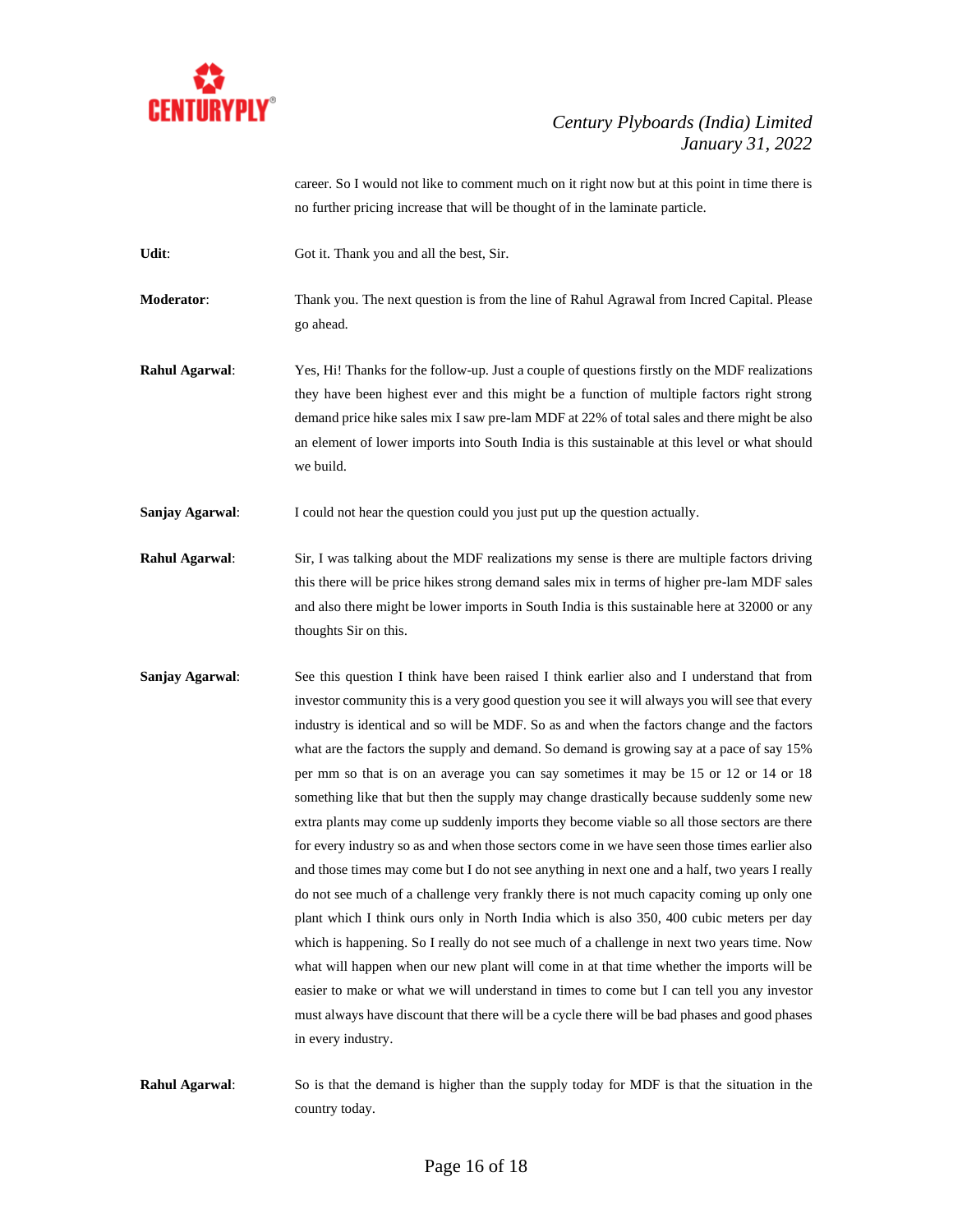

career. So I would not like to comment much on it right now but at this point in time there is no further pricing increase that will be thought of in the laminate particle.

Udit: Got it. Thank you and all the best, Sir.

**Moderator**: Thank you. The next question is from the line of Rahul Agrawal from Incred Capital. Please go ahead.

**Rahul Agarwal**: Yes, Hi! Thanks for the follow-up. Just a couple of questions firstly on the MDF realizations they have been highest ever and this might be a function of multiple factors right strong demand price hike sales mix I saw pre-lam MDF at 22% of total sales and there might be also an element of lower imports into South India is this sustainable at this level or what should we build.

**Sanjay Agarwal:** I could not hear the question could you just put up the question actually.

**Rahul Agarwal:** Sir, I was talking about the MDF realizations my sense is there are multiple factors driving this there will be price hikes strong demand sales mix in terms of higher pre-lam MDF sales and also there might be lower imports in South India is this sustainable here at 32000 or any thoughts Sir on this.

- **Sanjay Agarwal:** See this question I think have been raised I think earlier also and I understand that from investor community this is a very good question you see it will always you will see that every industry is identical and so will be MDF. So as and when the factors change and the factors what are the factors the supply and demand. So demand is growing say at a pace of say 15% per mm so that is on an average you can say sometimes it may be 15 or 12 or 14 or 18 something like that but then the supply may change drastically because suddenly some new extra plants may come up suddenly imports they become viable so all those sectors are there for every industry so as and when those sectors come in we have seen those times earlier also and those times may come but I do not see anything in next one and a half, two years I really do not see much of a challenge very frankly there is not much capacity coming up only one plant which I think ours only in North India which is also 350, 400 cubic meters per day which is happening. So I really do not see much of a challenge in next two years time. Now what will happen when our new plant will come in at that time whether the imports will be easier to make or what we will understand in times to come but I can tell you any investor must always have discount that there will be a cycle there will be bad phases and good phases in every industry.
- **Rahul Agarwal**: So is that the demand is higher than the supply today for MDF is that the situation in the country today.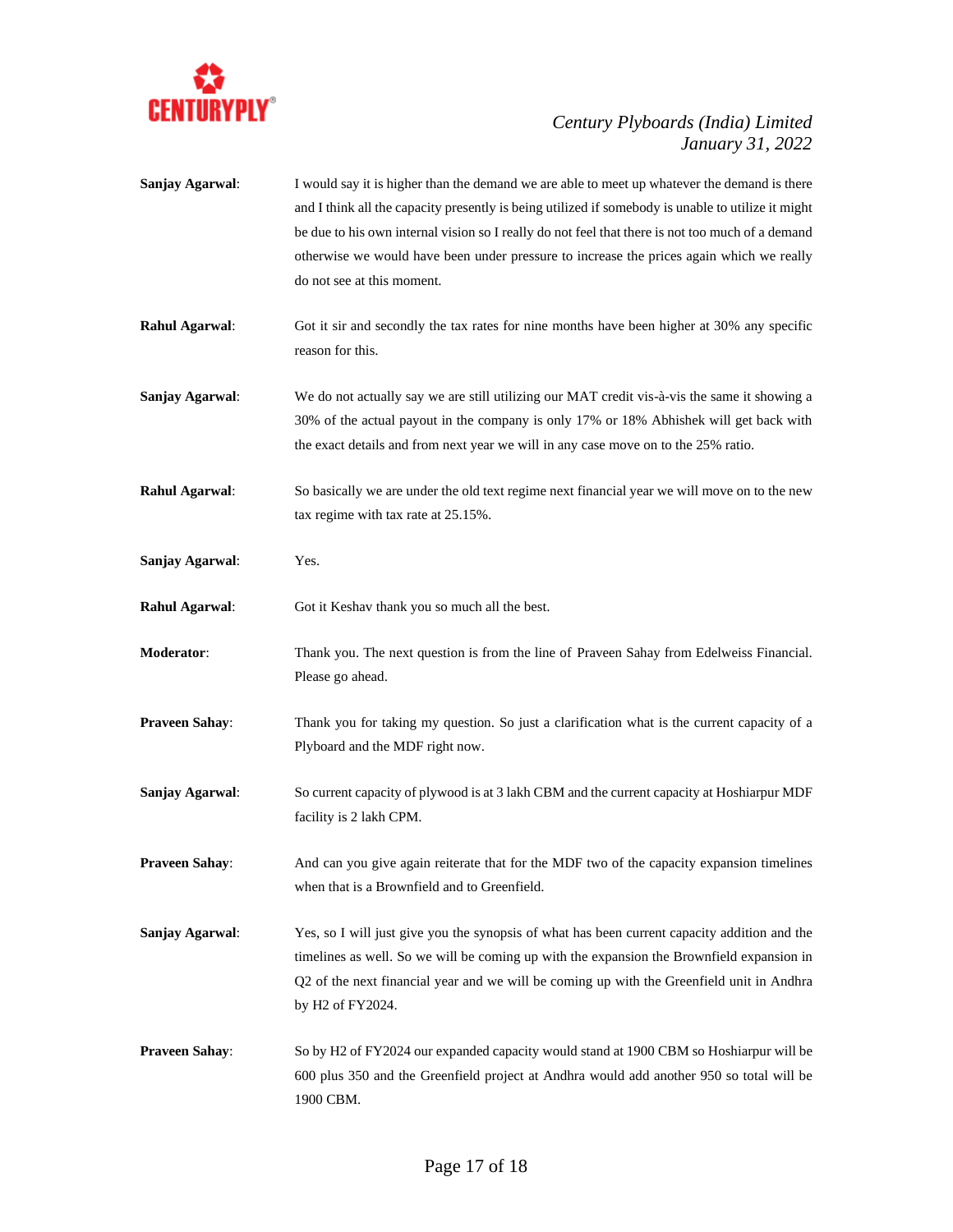

| Sanjay Agarwal:       | I would say it is higher than the demand we are able to meet up whatever the demand is there<br>and I think all the capacity presently is being utilized if somebody is unable to utilize it might<br>be due to his own internal vision so I really do not feel that there is not too much of a demand<br>otherwise we would have been under pressure to increase the prices again which we really<br>do not see at this moment. |
|-----------------------|----------------------------------------------------------------------------------------------------------------------------------------------------------------------------------------------------------------------------------------------------------------------------------------------------------------------------------------------------------------------------------------------------------------------------------|
| <b>Rahul Agarwal:</b> | Got it sir and secondly the tax rates for nine months have been higher at 30% any specific<br>reason for this.                                                                                                                                                                                                                                                                                                                   |
| Sanjay Agarwal:       | We do not actually say we are still utilizing our MAT credit vis-à-vis the same it showing a<br>30% of the actual payout in the company is only 17% or 18% Abhishek will get back with<br>the exact details and from next year we will in any case move on to the 25% ratio.                                                                                                                                                     |
| <b>Rahul Agarwal:</b> | So basically we are under the old text regime next financial year we will move on to the new<br>tax regime with tax rate at 25.15%.                                                                                                                                                                                                                                                                                              |
| Sanjay Agarwal:       | Yes.                                                                                                                                                                                                                                                                                                                                                                                                                             |
| <b>Rahul Agarwal:</b> | Got it Keshav thank you so much all the best.                                                                                                                                                                                                                                                                                                                                                                                    |
| Moderator:            | Thank you. The next question is from the line of Praveen Sahay from Edelweiss Financial.<br>Please go ahead.                                                                                                                                                                                                                                                                                                                     |
| <b>Praveen Sahay:</b> | Thank you for taking my question. So just a clarification what is the current capacity of a<br>Plyboard and the MDF right now.                                                                                                                                                                                                                                                                                                   |
| Sanjay Agarwal:       | So current capacity of plywood is at 3 lakh CBM and the current capacity at Hoshiarpur MDF<br>facility is 2 lakh CPM.                                                                                                                                                                                                                                                                                                            |
| <b>Praveen Sahay:</b> | And can you give again reiterate that for the MDF two of the capacity expansion timelines<br>when that is a Brownfield and to Greenfield.                                                                                                                                                                                                                                                                                        |
| Sanjay Agarwal:       | Yes, so I will just give you the synopsis of what has been current capacity addition and the<br>timelines as well. So we will be coming up with the expansion the Brownfield expansion in<br>Q2 of the next financial year and we will be coming up with the Greenfield unit in Andhra<br>by H2 of FY2024.                                                                                                                       |
| <b>Praveen Sahay:</b> | So by H2 of FY2024 our expanded capacity would stand at 1900 CBM so Hoshiarpur will be<br>600 plus 350 and the Greenfield project at Andhra would add another 950 so total will be<br>1900 CBM.                                                                                                                                                                                                                                  |